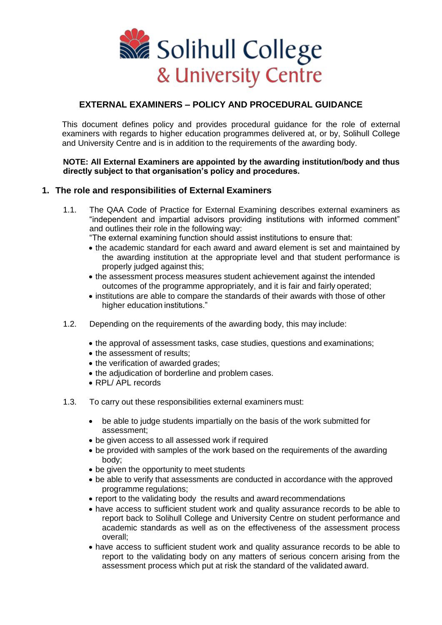

# **EXTERNAL EXAMINERS – POLICY AND PROCEDURAL GUIDANCE**

This document defines policy and provides procedural guidance for the role of external examiners with regards to higher education programmes delivered at, or by, Solihull College and University Centre and is in addition to the requirements of the awarding body.

### **NOTE: All External Examiners are appointed by the awarding institution/body and thus directly subject to that organisation's policy and procedures.**

## **1. The role and responsibilities of External Examiners**

- 1.1. The QAA Code of Practice for External Examining describes external examiners as "independent and impartial advisors providing institutions with informed comment" and outlines their role in the following way:
	- "The external examining function should assist institutions to ensure that:
	- the academic standard for each award and award element is set and maintained by the awarding institution at the appropriate level and that student performance is properly judged against this;
	- the assessment process measures student achievement against the intended outcomes of the programme appropriately, and it is fair and fairly operated;
	- institutions are able to compare the standards of their awards with those of other higher education institutions."
- 1.2. Depending on the requirements of the awarding body, this may include:
	- the approval of assessment tasks, case studies, questions and examinations;
	- the assessment of results:
	- the verification of awarded grades;
	- the adjudication of borderline and problem cases.
	- RPL/ APL records
- 1.3. To carry out these responsibilities external examiners must:
	- be able to judge students impartially on the basis of the work submitted for assessment;
	- be given access to all assessed work if required
	- be provided with samples of the work based on the requirements of the awarding body;
	- be given the opportunity to meet students
	- be able to verify that assessments are conducted in accordance with the approved programme regulations;
	- report to the validating body the results and award recommendations
	- have access to sufficient student work and quality assurance records to be able to report back to Solihull College and University Centre on student performance and academic standards as well as on the effectiveness of the assessment process overall;
	- have access to sufficient student work and quality assurance records to be able to report to the validating body on any matters of serious concern arising from the assessment process which put at risk the standard of the validated award.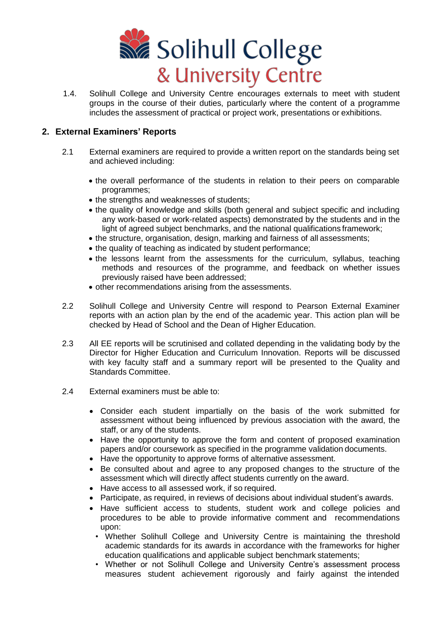

1.4. Solihull College and University Centre encourages externals to meet with student groups in the course of their duties, particularly where the content of a programme includes the assessment of practical or project work, presentations or exhibitions.

## **2. External Examiners' Reports**

- 2.1 External examiners are required to provide a written report on the standards being set and achieved including:
	- the overall performance of the students in relation to their peers on comparable programmes;
	- the strengths and weaknesses of students;
	- the quality of knowledge and skills (both general and subject specific and including any work-based or work-related aspects) demonstrated by the students and in the light of agreed subject benchmarks, and the national qualifications framework;
	- the structure, organisation, design, marking and fairness of all assessments;
	- the quality of teaching as indicated by student performance;
	- the lessons learnt from the assessments for the curriculum, syllabus, teaching methods and resources of the programme, and feedback on whether issues previously raised have been addressed;
	- other recommendations arising from the assessments.
- 2.2 Solihull College and University Centre will respond to Pearson External Examiner reports with an action plan by the end of the academic year. This action plan will be checked by Head of School and the Dean of Higher Education.
- 2.3 All EE reports will be scrutinised and collated depending in the validating body by the Director for Higher Education and Curriculum Innovation. Reports will be discussed with key faculty staff and a summary report will be presented to the Quality and Standards Committee.
- 2.4 External examiners must be able to:
	- Consider each student impartially on the basis of the work submitted for assessment without being influenced by previous association with the award, the staff, or any of the students.
	- Have the opportunity to approve the form and content of proposed examination papers and/or coursework as specified in the programme validation documents.
	- Have the opportunity to approve forms of alternative assessment.
	- Be consulted about and agree to any proposed changes to the structure of the assessment which will directly affect students currently on the award.
	- Have access to all assessed work, if so required.
	- Participate, as required, in reviews of decisions about individual student's awards.
	- Have sufficient access to students, student work and college policies and procedures to be able to provide informative comment and recommendations upon:
		- Whether Solihull College and University Centre is maintaining the threshold academic standards for its awards in accordance with the frameworks for higher education qualifications and applicable subject benchmark statements;
		- Whether or not Solihull College and University Centre's assessment process measures student achievement rigorously and fairly against the intended